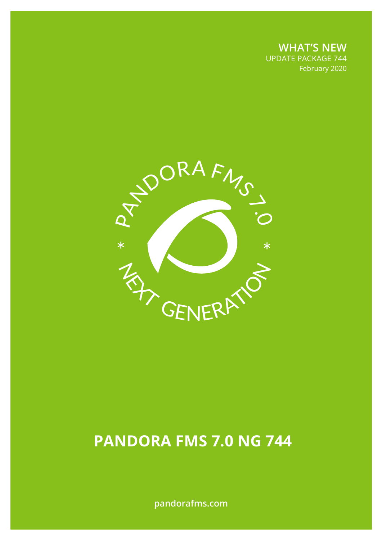**WHAT'S NEW** UPDATE PACKAGE 744 February 2020



# **PANDORA FMS 7.0 NG 744**

**pandorafms.com**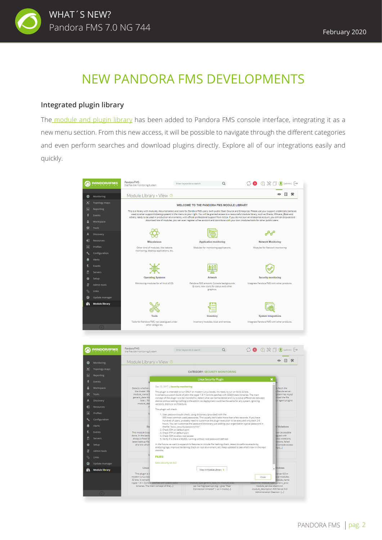

## NEW PANDORA FMS DEVELOPMENTS

#### **Integrated plugin library**

Resource

Update manage

Module library **ii** 

 $\boxed{3}$  Profiles

 $\blacksquare$ 

 $\bullet$ 

The [module and plugin library](https://pandorafms.com/library) has been added to Pandora FMS console interface, integrating it as a new menu section. From this new access, it will be possible to navigate through the different categories and even perform searches and download plugins directly. Explore all of our integrations easily and quickly.



s plugin will check:<br>
1. User password audit check, using dictionary (provided) with the<br>
1. SOD meas common used passwords. This usually don't take more than a few seconds. If you have<br>
1. SOD meas common used password di

a , wenty in a trere a wyo-pt. numming winnout root peasword derivers.<br>In the future we want to expand it's features to include file hashing check, detect bruteforce attacks by<br>analyzing logs, improve hardening check on ro

View in Module Library

odule\_type generic\_data\_inc module\_ex<br>| cat /var/log/openvpn.log | grep "Peer<br>| Connection Initiated" | wc -i modul...]

This plugin will check:

FILESasic.security.tar.bz2

modern Linux box<br>32 bits. It contains<br>ripper 1.8 + Contrib <del>patches with 328.64 sta</del><br>binaries. The main concept of the[...]

Linu

is plugin is<br>irn Linux b

violation<br>ins, failed

i modu<br>Jule na

Close

ouve\_name<br>module\_service sdadmind<br>module\_service sdadmind<br>nodule\_description ACE Server 6.0<br>Administration Daemon [...]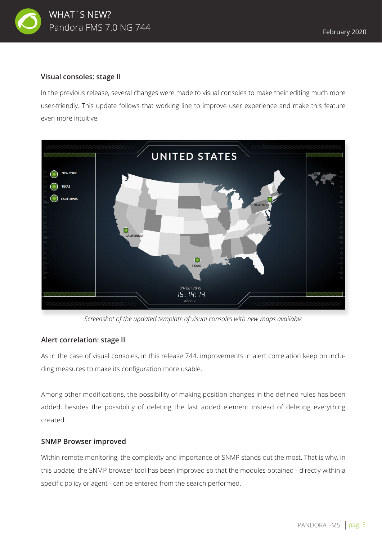

#### **Visual consoles: stage II**

In the previous release, several changes were made to visual consoles to make their editing much more user-friendly. This update follows that working line to improve user experience and make this feature even more intuitive.



*Screenshot of the updated template of visual consoles with new maps available* 

#### **Alert correlation: stage II**

As in the case of visual consoles, in this release 744, improvements in alert correlation keep on including measures to make its configuration more usable.

Among other modifications, the possibility of making position changes in the defined rules has been added, besides the possibility of deleting the last added element instead of deleting everything created.

#### **SNMP Browser improved**

Within remote monitoring, the complexity and importance of SNMP stands out the most. That is why, in this update, the SNMP browser tool has been improved so that the modules obtained - directly within a specific policy or agent - can be entered from the search performed.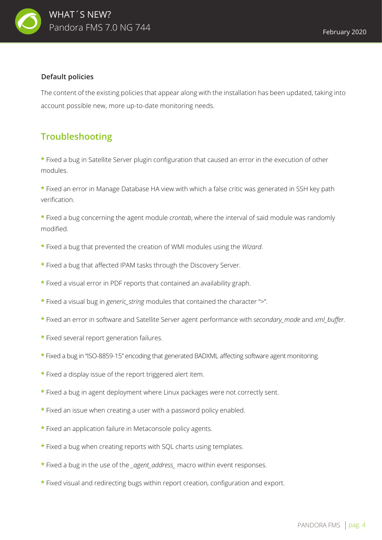

#### **Default policies**

The content of the existing policies that appear along with the installation has been updated, taking into account possible new, more up-to-date monitoring needs.

### **Troubleshooting**

**\*** Fixed a bug in Satellite Server plugin configuration that caused an error in the execution of other modules.

**\*** Fixed an error in Manage Database HA view with which a false critic was generated in SSH key path verification.

**\*** Fixed a bug concerning the agent module *crontab*, where the interval of said module was randomly modified.

- **\*** Fixed a bug that prevented the creation of WMI modules using the *Wizard*.
- **\*** Fixed a bug that affected IPAM tasks through the Discovery Server.
- **\*** Fixed a visual error in PDF reports that contained an availability graph.
- **\*** Fixed a visual bug in *generic\_string* modules that contained the character ">".
- **\*** Fixed an error in software and Satellite Server agent performance with *secondary\_mode* and *xml\_buffer.*
- **\*** Fixed several report generation failures.
- **\*** Fixed a bug in "ISO-8859-15" encoding that generated BADXML affecting software agent monitoring.
- **\*** Fixed a display issue of the report triggered alert item.
- **\*** Fixed a bug in agent deployment where Linux packages were not correctly sent.
- **\*** Fixed an issue when creating a user with a password policy enabled.
- **\*** Fixed an application failure in Metaconsole policy agents.
- **\*** Fixed a bug when creating reports with SQL charts using templates.
- **\*** Fixed a bug in the use of the *\_agent\_address\_* macro within event responses.
- **\*** Fixed visual and redirecting bugs within report creation, configuration and export.